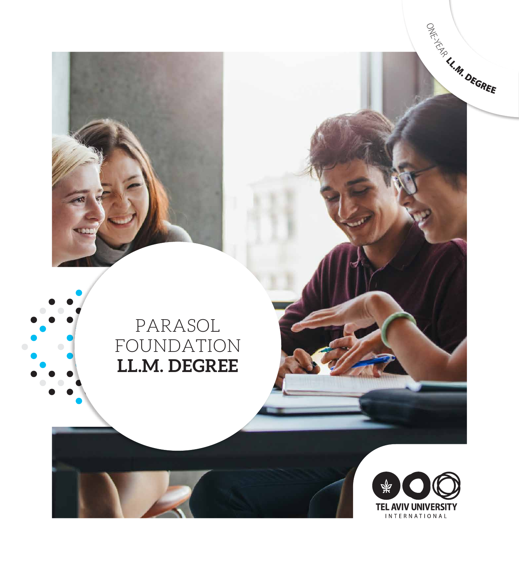PARASOL FOUNDATION **LL.M. DEGREE**



ONE-YEAR LL.M. DEGREE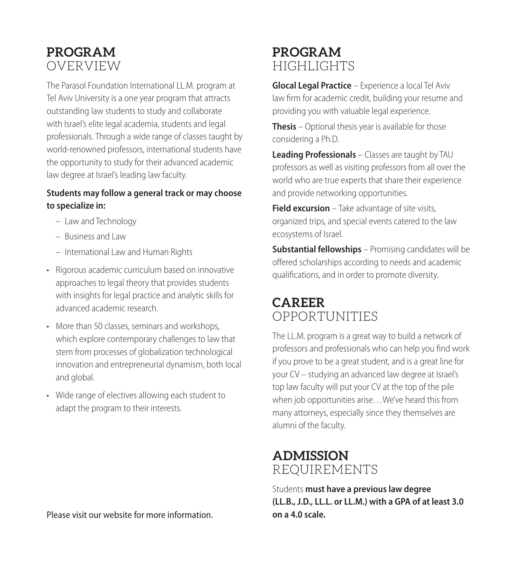# **PROGRAM** OVERVIEW

The Parasol Foundation International LL.M. program at Tel Aviv University is a one year program that attracts outstanding law students to study and collaborate with Israel's elite legal academia, students and legal professionals. Through a wide range of classes taught by world-renowned professors, international students have the opportunity to study for their advanced academic law degree at Israel's leading law faculty.

#### **Students may follow a general track or may choose to specialize in:**

- Law and Technology
- Business and Law
- International Law and Human Rights
- Rigorous academic curriculum based on innovative approaches to legal theory that provides students with insights for legal practice and analytic skills for advanced academic research.
- More than 50 classes, seminars and workshops, which explore contemporary challenges to law that stem from processes of globalization technological innovation and entrepreneurial dynamism, both local and global.
- Wide range of electives allowing each student to adapt the program to their interests.

Please visit our website for more information.

## **PROGRAM** HIGHTS

**Glocal Legal Practice** – Experience a local Tel Aviv law firm for academic credit, building your resume and providing you with valuable legal experience.

**Thesis** – Optional thesis year is available for those considering a Ph.D.

**Leading Professionals** – Classes are taught by TAU professors as well as visiting professors from all over the world who are true experts that share their experience and provide networking opportunities.

**Field excursion** – Take advantage of site visits, organized trips, and special events catered to the law ecosystems of Israel.

**Substantial fellowships** – Promising candidates will be offered scholarships according to needs and academic qualifications, and in order to promote diversity.

# **CAREER** OPPORTUNITIES

The LL.M. program is a great way to build a network of professors and professionals who can help you find work if you prove to be a great student, and is a great line for your CV – studying an advanced law degree at Israel's top law faculty will put your CV at the top of the pile when job opportunities arise…We've heard this from many attorneys, especially since they themselves are alumni of the faculty.

## **ADMISSION** REQUIREMENTS

Students **must have a previous law degree (LL.B., J.D., LL.L. or LL.M.) with a GPA of at least 3.0 on a 4.0 scale.**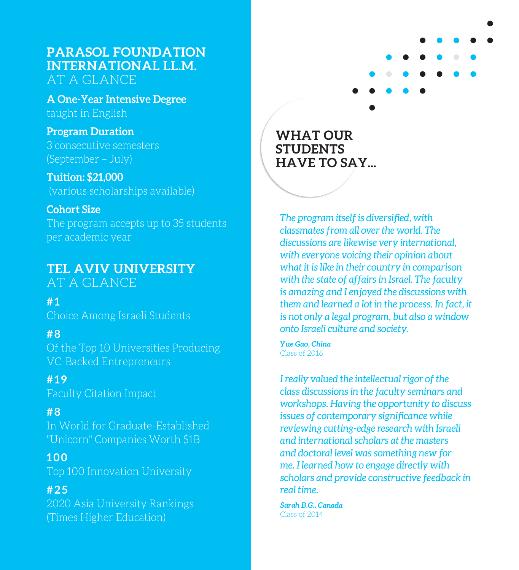### **PARASOL FOUNDATION INTERNATIONAL LL.M.**  AT A GLANCE

**A One-Year Intensive Degree**  taught in English

### **Program Duration**

3 consecutive semesters (September – July)

#### **Tuition: \$21,000**

(various scholarships available)

#### **Cohort Size**

The program accepts up to 35 students per academic year

# **TEL AVIV UNIVERSITY**

AT A GLANCE

**# 1**

Choice Among Israeli Students

#### **# 8**

Of the Top 10 Universities Producing VC-Backed Entrepreneurs

# **#19**

Faculty Citation Impact

#### **# 8**

In World for Graduate-Established "Unicorn" Companies Worth \$1B

#### **100**

Top 100 Innovation University

### **#25**

2020 Asia University Rankings (Times Higher Education)



**WHAT OUR STUDENTS HAVE TO SAY...**

*The program itself is diversified, with classmates from all over the world. The discussions are likewise very international, with everyone voicing their opinion about what it is like in their country in comparison with the state of affairs in Israel. The faculty is amazing and I enjoyed the discussions with them and learned a lot in the process. In fact, it is not only a legal program, but also a window onto Israeli culture and society.* 

*Yue Gao, China* Class of 2016

*I really valued the intellectual rigor of the class discussions in the faculty seminars and workshops. Having the opportunity to discuss issues of contemporary significance while reviewing cutting-edge research with Israeli and international scholars at the masters and doctoral level was something new for me. I learned how to engage directly with scholars and provide constructive feedback in real time.*

*Sarah B.G., Canada* Class of 2014